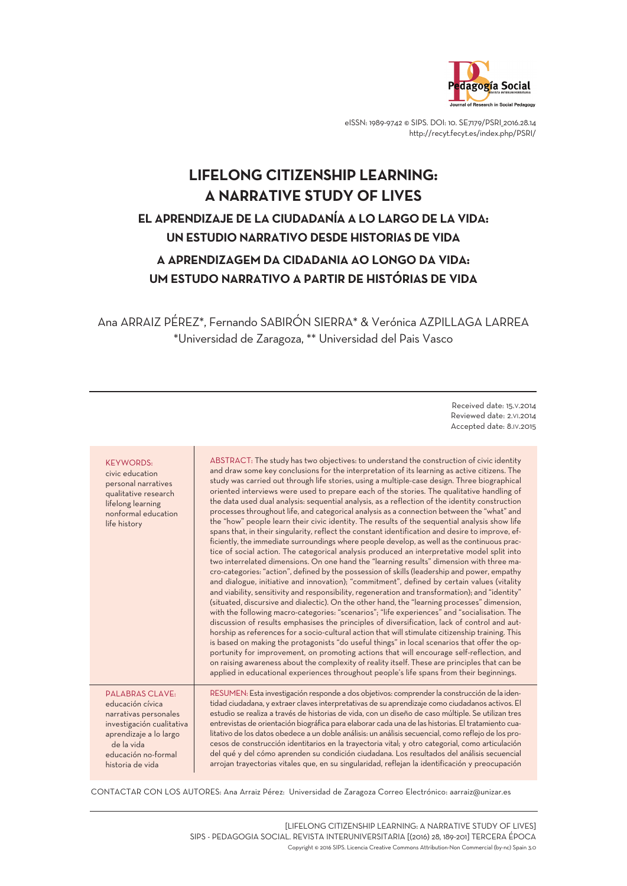

eISSN: 1989-9742 © SIPS. DOI: 10. SE7179/PSRI 2016.28.14 http://recyt.fecyt.es/index.php/PSRI/

# **LIFELONG CITIZENSHIP LEARNING: A NARRATIVE STUDY OF LIVES EL APRENDIZAJE DE LA CIUDADANÍA A LO LARGO DE LA VIDA: UN ESTUDIO NARRATIVO DESDE HISTORIAS DE VIDA A APRENDIZAGEM DA CIDADANIA AO LONGO DA VIDA: UM ESTUDO NARRATIVO A PARTIR DE HISTÓRIAS DE VIDA**

Ana ARRAIZ PÉREZ\*, Fernando SABIRÓN SIERRA\* & Verónica AZPILLAGA LARREA \*Universidad de Zaragoza, \*\* Universidad del Pais Vasco

> Received date: 15.V.2014 Reviewed date: 2.VI.2014 Accepted date: 8.IV.2015

| <b>KEYWORDS:</b><br>civic education<br>personal narratives<br>qualitative research<br>lifelong learning<br>nonformal education<br>life history | ABSTRACT: The study has two objectives: to understand the construction of civic identity<br>and draw some key conclusions for the interpretation of its learning as active citizens. The<br>study was carried out through life stories, using a multiple-case design. Three biographical<br>oriented interviews were used to prepare each of the stories. The qualitative handling of<br>the data used dual analysis: sequential analysis, as a reflection of the identity construction<br>processes throughout life, and categorical analysis as a connection between the "what" and<br>the "how" people learn their civic identity. The results of the sequential analysis show life<br>spans that, in their singularity, reflect the constant identification and desire to improve, ef-<br>ficiently, the immediate surroundings where people develop, as well as the continuous prac-<br>tice of social action. The categorical analysis produced an interpretative model split into<br>two interrelated dimensions. On one hand the "learning results" dimension with three ma-<br>cro-categories: "action", defined by the possession of skills (leadership and power, empathy<br>and dialogue, initiative and innovation); "commitment", defined by certain values (vitality<br>and viability, sensitivity and responsibility, regeneration and transformation); and "identity"<br>(situated, discursive and dialectic). On the other hand, the "learning processes" dimension,<br>with the following macro-categories: "scenarios"; "life experiences" and "socialisation. The<br>discussion of results emphasises the principles of diversification, lack of control and aut-<br>horship as references for a socio-cultural action that will stimulate citizenship training. This<br>is based on making the protagonists "do useful things" in local scenarios that offer the op-<br>portunity for improvement, on promoting actions that will encourage self-reflection, and<br>on raising awareness about the complexity of reality itself. These are principles that can be<br>applied in educational experiences throughout people's life spans from their beginnings. |
|------------------------------------------------------------------------------------------------------------------------------------------------|-------------------------------------------------------------------------------------------------------------------------------------------------------------------------------------------------------------------------------------------------------------------------------------------------------------------------------------------------------------------------------------------------------------------------------------------------------------------------------------------------------------------------------------------------------------------------------------------------------------------------------------------------------------------------------------------------------------------------------------------------------------------------------------------------------------------------------------------------------------------------------------------------------------------------------------------------------------------------------------------------------------------------------------------------------------------------------------------------------------------------------------------------------------------------------------------------------------------------------------------------------------------------------------------------------------------------------------------------------------------------------------------------------------------------------------------------------------------------------------------------------------------------------------------------------------------------------------------------------------------------------------------------------------------------------------------------------------------------------------------------------------------------------------------------------------------------------------------------------------------------------------------------------------------------------------------------------------------------------------------------------------------------------------------------------------------------------------------------------------------------------------------------------------------------------------|
| <b>PALABRAS CLAVE:</b>                                                                                                                         | RESUMEN: Esta investigación responde a dos objetivos: comprender la construcción de la iden-                                                                                                                                                                                                                                                                                                                                                                                                                                                                                                                                                                                                                                                                                                                                                                                                                                                                                                                                                                                                                                                                                                                                                                                                                                                                                                                                                                                                                                                                                                                                                                                                                                                                                                                                                                                                                                                                                                                                                                                                                                                                                        |
| educación cívica                                                                                                                               | tidad ciudadana, y extraer claves interpretativas de su aprendizaje como ciudadanos activos. El                                                                                                                                                                                                                                                                                                                                                                                                                                                                                                                                                                                                                                                                                                                                                                                                                                                                                                                                                                                                                                                                                                                                                                                                                                                                                                                                                                                                                                                                                                                                                                                                                                                                                                                                                                                                                                                                                                                                                                                                                                                                                     |
| narrativas personales                                                                                                                          | estudio se realiza a través de historias de vida, con un diseño de caso múltiple. Se utilizan tres                                                                                                                                                                                                                                                                                                                                                                                                                                                                                                                                                                                                                                                                                                                                                                                                                                                                                                                                                                                                                                                                                                                                                                                                                                                                                                                                                                                                                                                                                                                                                                                                                                                                                                                                                                                                                                                                                                                                                                                                                                                                                  |
| investigación cualitativa                                                                                                                      | entrevistas de orientación biográfica para elaborar cada una de las historias. El tratamiento cua-                                                                                                                                                                                                                                                                                                                                                                                                                                                                                                                                                                                                                                                                                                                                                                                                                                                                                                                                                                                                                                                                                                                                                                                                                                                                                                                                                                                                                                                                                                                                                                                                                                                                                                                                                                                                                                                                                                                                                                                                                                                                                  |
| aprendizaje a lo largo                                                                                                                         | litativo de los datos obedece a un doble análisis: un análisis secuencial, como reflejo de los pro-                                                                                                                                                                                                                                                                                                                                                                                                                                                                                                                                                                                                                                                                                                                                                                                                                                                                                                                                                                                                                                                                                                                                                                                                                                                                                                                                                                                                                                                                                                                                                                                                                                                                                                                                                                                                                                                                                                                                                                                                                                                                                 |
| de la vida                                                                                                                                     | cesos de construcción identitarios en la trayectoria vital, y otro categorial, como articulación                                                                                                                                                                                                                                                                                                                                                                                                                                                                                                                                                                                                                                                                                                                                                                                                                                                                                                                                                                                                                                                                                                                                                                                                                                                                                                                                                                                                                                                                                                                                                                                                                                                                                                                                                                                                                                                                                                                                                                                                                                                                                    |
| educación no-formal                                                                                                                            | del qué y del cómo aprenden su condición ciudadana. Los resultados del análisis secuencial                                                                                                                                                                                                                                                                                                                                                                                                                                                                                                                                                                                                                                                                                                                                                                                                                                                                                                                                                                                                                                                                                                                                                                                                                                                                                                                                                                                                                                                                                                                                                                                                                                                                                                                                                                                                                                                                                                                                                                                                                                                                                          |
| historia de vida                                                                                                                               | arrojan trayectorias vitales que, en su singularidad, reflejan la identificación y preocupación                                                                                                                                                                                                                                                                                                                                                                                                                                                                                                                                                                                                                                                                                                                                                                                                                                                                                                                                                                                                                                                                                                                                                                                                                                                                                                                                                                                                                                                                                                                                                                                                                                                                                                                                                                                                                                                                                                                                                                                                                                                                                     |

CONTACTAR CON LOS AUTORES: Ana Arraiz Pérez: Universidad de Zaragoza Correo Electrónico: aarraiz@unizar.es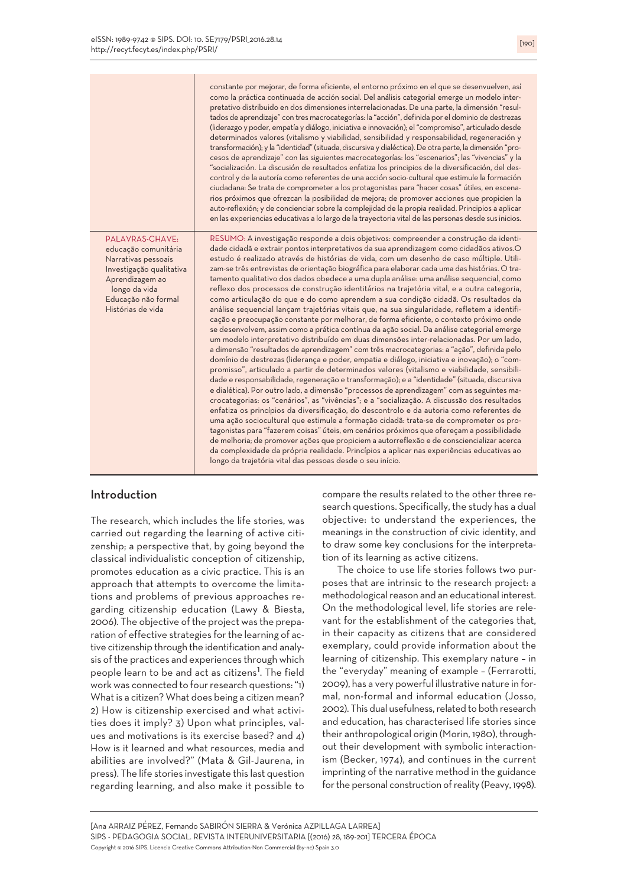|                                                                                                                                                                            | constante por mejorar, de forma eficiente, el entorno próximo en el que se desenvuelven, así<br>como la práctica continuada de acción social. Del análisis categorial emerge un modelo inter-<br>pretativo distribuido en dos dimensiones interrelacionadas. De una parte, la dimensión "resul-<br>tados de aprendizaje" con tres macrocategorías: la "acción", definida por el dominio de destrezas<br>(liderazgo y poder, empatía y diálogo, iniciativa e innovación); el "compromiso", articulado desde<br>determinados valores (vitalismo y viabilidad, sensibilidad y responsabilidad, regeneración y<br>transformación); y la "identidad" (situada, discursiva y dialéctica). De otra parte, la dimensión "pro-<br>cesos de aprendizaje" con las siguientes macrocategorías: los "escenarios"; las "vivencias" y la<br>"socialización. La discusión de resultados enfatiza los principios de la diversificación, del des-<br>control y de la autoría como referentes de una acción socio-cultural que estimule la formación<br>ciudadana: Se trata de comprometer a los protagonistas para "hacer cosas" útiles, en escena-<br>rios próximos que ofrezcan la posibilidad de mejora; de promover acciones que propicien la<br>auto-reflexión; y de concienciar sobre la complejidad de la propia realidad. Principios a aplicar<br>en las experiencias educativas a lo largo de la trayectoria vital de las personas desde sus inicios.                                                                                                                                                                                                                                                                                                                                                                                                                                                                                                                                                                                                                                                                                                                                      |
|----------------------------------------------------------------------------------------------------------------------------------------------------------------------------|-----------------------------------------------------------------------------------------------------------------------------------------------------------------------------------------------------------------------------------------------------------------------------------------------------------------------------------------------------------------------------------------------------------------------------------------------------------------------------------------------------------------------------------------------------------------------------------------------------------------------------------------------------------------------------------------------------------------------------------------------------------------------------------------------------------------------------------------------------------------------------------------------------------------------------------------------------------------------------------------------------------------------------------------------------------------------------------------------------------------------------------------------------------------------------------------------------------------------------------------------------------------------------------------------------------------------------------------------------------------------------------------------------------------------------------------------------------------------------------------------------------------------------------------------------------------------------------------------------------------------------------------------------------------------------------------------------------------------------------------------------------------------------------------------------------------------------------------------------------------------------------------------------------------------------------------------------------------------------------------------------------------------------------------------------------------------------------------------------------------------------------------------------------------------------------|
| PALAVRAS-CHAVE:<br>educação comunitária<br>Narrativas pessoais<br>Investigação qualitativa<br>Aprendizagem ao<br>longo da vida<br>Educação não formal<br>Histórias de vida | RESUMO: A investigação responde a dois objetivos: compreender a construção da identi-<br>dade cidadã e extrair pontos interpretativos da sua aprendizagem como cidadãos ativos.O<br>estudo é realizado através de histórias de vida, com um desenho de caso múltiple. Utili-<br>zam-se três entrevistas de orientação biográfica para elaborar cada uma das histórias. O tra-<br>tamento qualitativo dos dados obedece a uma dupla análise: uma análise sequencial, como<br>reflexo dos processos de construção identitários na trajetória vital, e a outra categoria,<br>como articulação do que e do como aprendem a sua condição cidadã. Os resultados da<br>análise sequencial lançam trajetórias vitais que, na sua singularidade, refletem a identifi-<br>cação e preocupação constante por melhorar, de forma eficiente, o contexto próximo onde<br>se desenvolvem, assim como a prática contínua da ação social. Da análise categorial emerge<br>um modelo interpretativo distribuído em duas dimensões inter-relacionadas. Por um lado,<br>a dimensão "resultados de aprendizagem" com três macrocategorias: a "ação", definida pelo<br>domínio de destrezas (liderança e poder, empatia e diálogo, iniciativa e inovação); o "com-<br>promisso", articulado a partir de determinados valores (vitalismo e viabilidade, sensibili-<br>dade e responsabilidade, regeneração e transformação); e a "identidade" (situada, discursiva<br>e dialética). Por outro lado, a dimensão "processos de aprendizagem" com as seguintes ma-<br>crocategorias: os "cenários", as "vivências"; e a "socialização. A discussão dos resultados<br>enfatiza os princípios da diversificação, do descontrolo e da autoria como referentes de<br>uma ação sociocultural que estimule a formação cidadã: trata-se de comprometer os pro-<br>tagonistas para "fazerem coisas" úteis, em cenários próximos que ofereçam a possibilidade<br>de melhoria; de promover ações que propiciem a autorreflexão e de consciencializar acerca<br>da complexidade da própria realidade. Princípios a aplicar nas experiências educativas ao<br>longo da trajetória vital das pessoas desde o seu início. |

#### Introduction

The research, which includes the life stories, was carried out regarding the learning of active citizenship; a perspective that, by going beyond the classical individualistic conception of citizenship, promotes education as a civic practice. This is an approach that attempts to overcome the limitations and problems of previous approaches regarding citizenship education (Lawy & Biesta, 2006). The objective of the project was the preparation of effective strategies for the learning of active citizenship through the identification and analysis of the practices and experiences through which sis of the practices and experiences through which<br>people learn to be and act as citizens<sup>1</sup>. The field work was connected to four research questions: "1) What is a citizen? What does being a citizen mean? 2) How is citizenship exercised and what activities does it imply? 3) Upon what principles, values and motivations is its exercise based? and 4) How is it learned and what resources, media and abilities are involved?" (Mata & Gil-Jaurena, in press). The life stories investigate this last question regarding learning, and also make it possible to compare the results related to the other three research questions. Specifically, the study has a dual objective: to understand the experiences, the meanings in the construction of civic identity, and to draw some key conclusions for the interpretation of its learning as active citizens.

The choice to use life stories follows two purposes that are intrinsic to the research project: a methodological reason and an educational interest. On the methodological level, life stories are relevant for the establishment of the categories that, in their capacity as citizens that are considered exemplary, could provide information about the learning of citizenship. This exemplary nature – in the "everyday" meaning of example – (Ferrarotti, 2009), has a very powerful illustrative nature in formal, non-formal and informal education (Josso, 2002). This dual usefulness,related to both research and education, has characterised life stories since their anthropological origin (Morin, 1980), throughout their development with symbolic interactionism (Becker, 1974), and continues in the current imprinting of the narrative method in the guidance for the personal construction of reality (Peavy, 1998).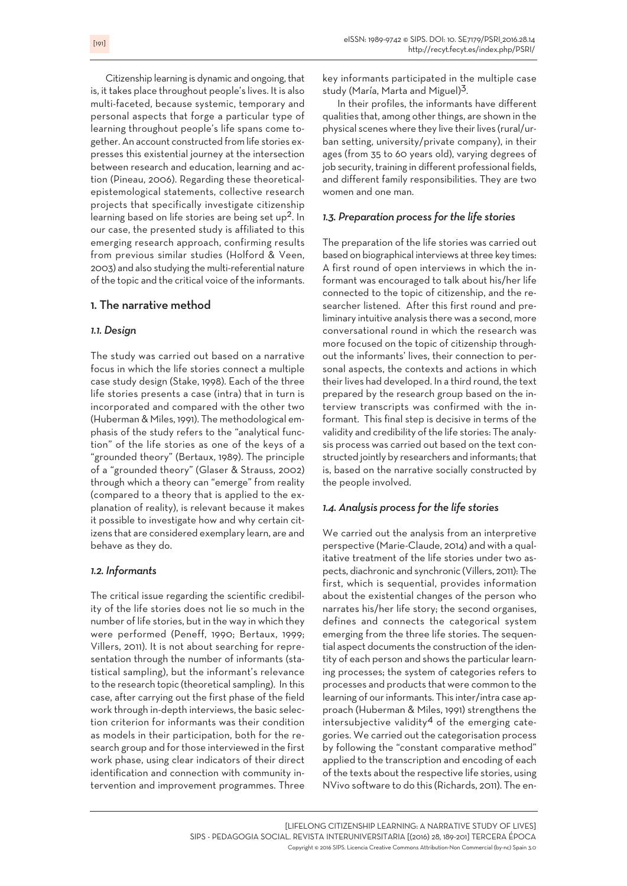Citizenship learning is dynamic and ongoing, that is, it takes place throughout people's lives. It is also multi-faceted, because systemic, temporary and personal aspects that forge a particular type of learning throughout people's life spans come together. An account constructed from life stories expresses this existential journey at the intersection between research and education, learning and action (Pineau, 2006). Regarding these theoreticalepistemological statements, collective research projects that specifically investigate citizenship learning based on life stories are being set up<sup>2</sup>. In our case, the presented study is affiliated to this emerging research approach, confirming results from previous similar studies (Holford & Veen, 2003) and also studying the multi-referential nature of the topic and the critical voice of the informants.

# 1. The narrative method

# *1.1. Design*

The study was carried out based on a narrative focus in which the life stories connect a multiple case study design (Stake, 1998). Each of the three life stories presents a case (intra) that in turn is incorporated and compared with the other two (Huberman & Miles, 1991). The methodological emphasis of the study refers to the "analytical function" of the life stories as one of the keys of a "grounded theory" (Bertaux, 1989). The principle of a "grounded theory" (Glaser & Strauss, 2002) through which a theory can "emerge" from reality (compared to a theory that is applied to the explanation of reality), is relevant because it makes it possible to investigate how and why certain citizens that are considered exemplary learn, are and behave as they do.

# *1.2. Informants*

The critical issue regarding the scientific credibility of the life stories does not lie so much in the number of life stories, but in the way in which they were performed (Peneff, 1990; Bertaux, 1999; Villers, 2011). It is not about searching for representation through the number of informants (statistical sampling), but the informant's relevance to the research topic (theoretical sampling). In this case, after carrying out the first phase of the field work through in-depth interviews, the basic selection criterion for informants was their condition as models in their participation, both for the research group and for those interviewed in the first work phase, using clear indicators of their direct identification and connection with community intervention and improvement programmes. Three key informants participated in the multiple case key informants participated in the<br>study (María, Marta and Miguel)<sup>3</sup>.

In their profiles, the informants have different qualities that, among other things, are shown in the physical scenes where they live their lives (rural/urban setting, university/private company), in their ages (from 35 to 60 years old), varying degrees of job security, training in different professional fields, and different family responsibilities. They are two women and one man.

## *1.3. Preparation process for the life stories*

The preparation of the life stories was carried out based on biographical interviews at three key times: A first round of open interviews in which the informant was encouraged to talk about his/her life connected to the topic of citizenship, and the researcher listened. After this first round and preliminary intuitive analysis therewas a second, more conversational round in which the research was more focused on the topic of citizenship throughout the informants' lives, their connection to personal aspects, the contexts and actions in which their lives had developed. In a third round, the text prepared by the research group based on the interview transcripts was confirmed with the informant. This final step is decisive in terms of the validity and credibility of the life stories: The analysis process was carried out based on the text constructed jointly by researchers and informants;that is, based on the narrative socially constructed by the people involved.

#### *1.4. Analysis process for the life stories*

We carried out the analysis from an interpretive perspective (Marie-Claude, 2014) and with a qualitative treatment of the life stories under two aspects, diachronic and synchronic (Villers, 2011): The first, which is sequential, provides information about the existential changes of the person who narrates his/her life story; the second organises, defines and connects the categorical system emerging from the three life stories. The sequential aspect documents the construction of the identity of each person and shows the particular learning processes; the system of categories refers to processes and products that were common to the learning of our informants. This inter/intra case approach (Huberman & Miles, 1991) strengthens the intersubjective validity<sup>4</sup> of the emerging categories. We carried out the categorisation process by following the "constant comparative method" applied to the transcription and encoding of each of the texts about the respective life stories, using NVivo software to do this (Richards, 2011). The en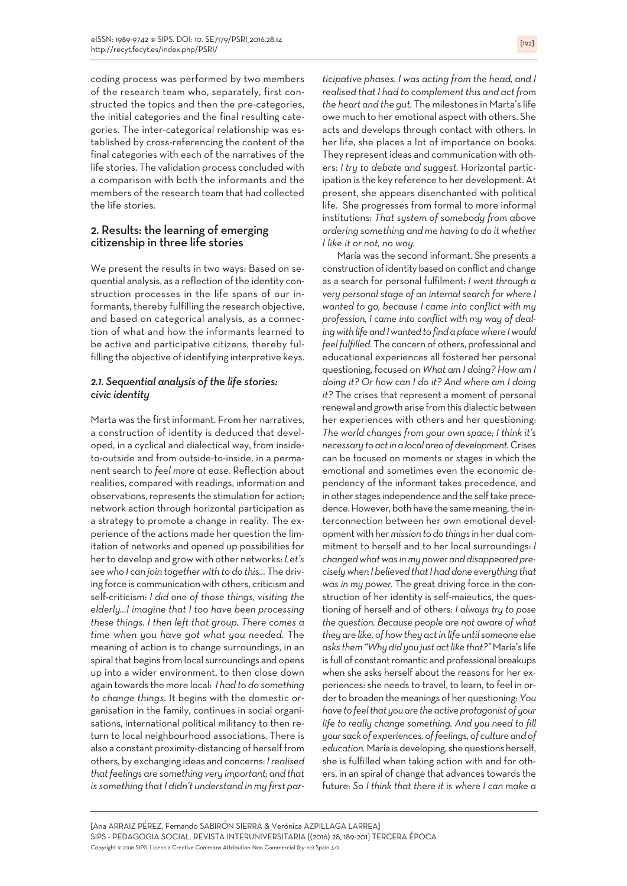coding process was performed by two members of the research team who, separately, first constructed the topics and then the pre-categories, the initial categories and the final resulting categories. The inter-categorical relationship was established by cross-referencing the content of the final categories with each of the narratives of the life stories. The validation process concluded with a comparison with both the informants and the members of the research team that had collected the life stories.

# 2. Results: the learning of emerging citizenship in three life stories

We present the results in two ways: Based on sequential analysis, as a reflection of the identity construction processes in the life spans of our informants, thereby fulfilling the research objective, and based on categorical analysis, as a connection of what and how the informants learned to be active and participative citizens, thereby fulfilling the objective of identifying interpretive keys.

## *2.1. Sequential analysis of the life stories: civic identity*

Marta was the first informant. From her narratives, a construction of identity is deduced that developed, in a cyclical and dialectical way, from insideto-outside and from outside-to-inside, in a permanent search to *feel more at ease.* Reflection about realities, compared with readings, information and observations, represents the stimulation for action; network action through horizontal participation as a strategy to promote a change in reality. The experience of the actions made her question the limitation of networks and opened up possibilities for herto develop and growwith other networks: *Let's seewho I can join togetherwith to do this…* The driving force is communication with others, criticism and self-criticism: *I did one of those things, visiting the elderly…I imagine that I too have been processing these things. I then left that group. There comes a time when you have got what you needed.* The meaning of action is to change surroundings, in an spiral that begins from local surroundings and opens up into a wider environment, to then close down again towards the more local: *I had to do something to change things.* It begins with the domestic organisation in the family, continues in social organisations, international political militancy to then return to local neighbourhood associations. There is also a constant proximity-distancing of herself from others, by exchanging ideas and concerns: *Irealised thatfeelings are something very important; and that is something thatI didn't understand in my first par-* *ticipative phases. I was acting from the head, and I realised that I had to complement this and act from the heart and the gut.* The milestones in Marta's life owe much to her emotional aspect with others. She acts and develops through contact with others. In her life, she places a lot of importance on books. They represent ideas and communication with others: *I try to debate and suggest.* Horizontal participation is the key reference to her development.At present, she appears disenchanted with political life. She progresses from formal to more informal institutions: *That system of somebody from above ordering something and me having to do it whether I like it or not, no way.*

María was the second informant. She presents a construction of identity based on conflict and change as a search for personal fulfilment: *I went through a very personal stage of an internal search for where I wanted to go, because I came into conflict with my profession, I came into conflict with my way of dealingwith life andIwantedto findaplacewhere Iwould feel fulfilled.* The concern of others, professional and educational experiences all fostered her personal questioning, focused on *What am I doing? How am I doing it? Or how can I do it? And where am I doing it?* The crises that represent a moment of personal renewal and growth arise fromthis dialectic between her experiences with others and her questioning: *The world changes from your own space; I think it's necessary toactinalocalareaofdevelopment.*Crises can be focused on moments or stages in which the emotional and sometimes even the economic dependency of the informant takes precedence, and in other stages independence and the self take precedence. However, both have the same meaning, the interconnection between her own emotional developmentwith her*mission to do things* in her dual commitment to herself and to her local surroundings: *I changed what was in my power and disappeared preciselywhen I believed thatI had done everything that was in my power.* The great driving force in the construction of her identity is self-maieutics, the questioning of herself and of others: *I always try to pose the question. Because people are not aware of what they are like, of howthey actin life until someone else asks them"Whydidyou just actlike that?"*María's life is full of constant romantic and professional breakups when she asks herself about the reasons for her experiences: she needs to travel, to learn, to feel in orderto broaden themeanings of her questioning:*You have tofeelthat youare theactiveprotagonistof your life to really change something. And you need to fill your sack of experiences, offeelings, of culture and of* education. María is developing, she questions herself, she is fulfilled when taking action with and for others, in an spiral of change that advances towards the future: *So I think that there it is where I can make a*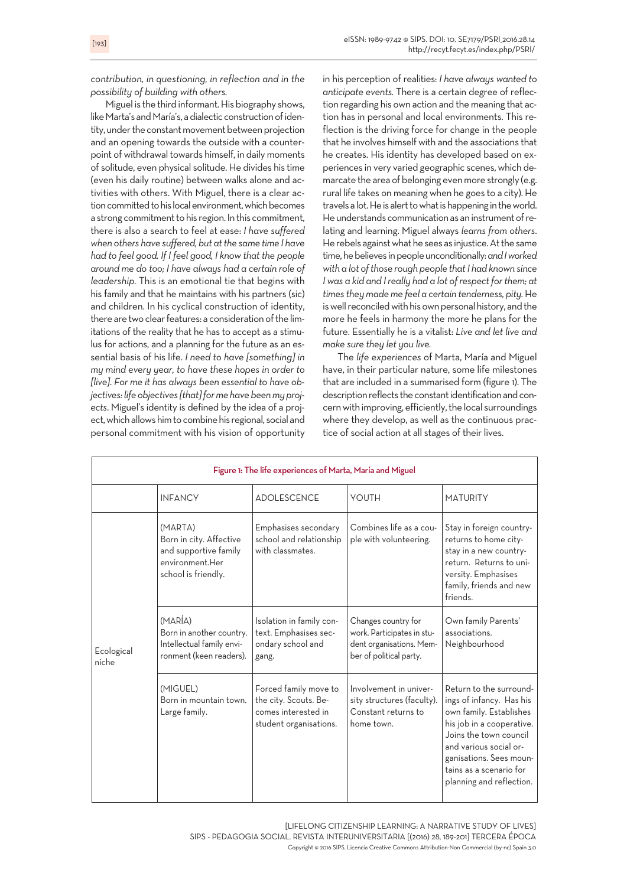*contribution, in questioning, in reflection and in the possibility of building with others.*

Miguel is the third informant. His biography shows, like Marta's and María's, a dialectic construction of identity, under the constant movement between projection and an opening towards the outside with a counterpoint of withdrawal towards himself, in daily moments of solitude, even physical solitude.He divides his time (even his daily routine) between walks alone and activities with others. With Miguel, there is a clear action committed to his local environment, which becomes a strong commitment to his region. In this commitment, there is also a search to feel at ease: *I have suffered when others have suffered, but atthe same time I have had to feel good. If I feel good, I know that the people around me do too; I have always had a certain role of leadership.* This is an emotional tie that begins with his family and that he maintains with his partners (sic) and children. In his cyclical construction of identity, there are two clear features: a consideration of the limitations of the reality that he has to accept as a stimulus for actions, and a planning for the future as an essential basis of his life. *I need to have [something] in my mind every year, to have these hopes in order to [live]*. *For me it has always been essential to have objectives: lifeobjectives [that]formehavebeenmyprojects*. Miguel's identity is defined by the idea of a project, which allows him to combine his regional, social and personal commitment with his vision of opportunity

in his perception of realities: *I have always wanted to anticipate events.* There is a certain degree of reflection regarding his own action and the meaning that action has in personal and local environments. This reflection is the driving force for change in the people that he involves himself with and the associations that he creates. His identity has developed based on experiences in very varied geographic scenes, which demarcate the area of belonging even more strongly (e.g. rural life takes on meaning when he goes to a city). He travels a lot. He is alert to what is happening in the world. He understands communication as an instrument of relating and learning. Miguel always *learns from others*. He rebels against what he sees as injustice. At the same time, he believes in people unconditionally: and I worked *with a lot ofthose rough people thatI had known since Iwas a kid and I really had a lot of respect for them; at times they made me feel a certain tenderness, pity.*He is well reconciled with his own personal history, and the more he feels in harmony the more he plans for the future. Essentially he is a vitalist: *Live and let live and make sure they let you live.*

The *life experiences* of Marta, María and Miguel have, in their particular nature, some life milestones that are included in a summarised form (figure 1). The description reflects the constant identification and concern with improving, efficiently, the local surroundings where they develop, as well as the continuous practice of social action at all stages of their lives.

| Figure 1: The life experiences of Marta, María and Miguel |                                                                                                       |                                                                                                 |                                                                                                          |                                                                                                                                                                                                                                                   |  |  |
|-----------------------------------------------------------|-------------------------------------------------------------------------------------------------------|-------------------------------------------------------------------------------------------------|----------------------------------------------------------------------------------------------------------|---------------------------------------------------------------------------------------------------------------------------------------------------------------------------------------------------------------------------------------------------|--|--|
|                                                           | <b>INFANCY</b>                                                                                        | <b>ADOLESCENCE</b>                                                                              | YOUTH                                                                                                    | <b>MATURITY</b>                                                                                                                                                                                                                                   |  |  |
| Ecological<br>niche                                       | (MARTA)<br>Born in city. Affective<br>and supportive family<br>environment.Her<br>school is friendly. | Emphasises secondary<br>school and relationship<br>with classmates.                             | Combines life as a cou-<br>ple with volunteering.                                                        | Stay in foreign country-<br>returns to home city-<br>stay in a new country-<br>return. Returns to uni-<br>versity. Emphasises<br>family, friends and new<br>friends.                                                                              |  |  |
|                                                           | (MARÍA)<br>Born in another country.<br>Intellectual family envi-<br>ronment (keen readers).           | Isolation in family con-<br>text. Emphasises sec-<br>ondary school and<br>gang.                 | Changes country for<br>work. Participates in stu-<br>dent organisations. Mem-<br>ber of political party. | Own family Parents'<br>associations.<br>Neighbourhood                                                                                                                                                                                             |  |  |
|                                                           | (MIGUEL)<br>Born in mountain town.<br>Large family.                                                   | Forced family move to<br>the city. Scouts. Be-<br>comes interested in<br>student organisations. | Involvement in univer-<br>sity structures (faculty).<br>Constant returns to<br>home town.                | Return to the surround-<br>ings of infancy. Has his<br>own family. Establishes<br>his job in a cooperative.<br>Joins the town council<br>and various social or-<br>ganisations. Sees moun-<br>tains as a scenario for<br>planning and reflection. |  |  |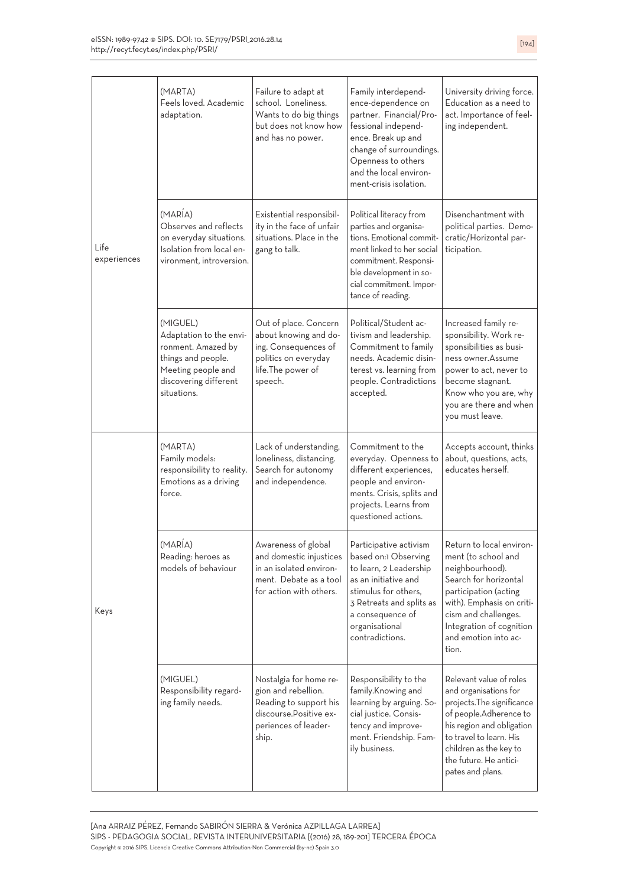| Life<br>experiences<br>Keys | (MARTA)<br>Feels loved. Academic<br>adaptation.                                                                                               | Failure to adapt at<br>school. Loneliness.<br>Wants to do big things<br>but does not know how<br>and has no power.                  | Family interdepend-<br>ence-dependence on<br>partner. Financial/Pro-<br>fessional independ-<br>ence. Break up and<br>change of surroundings.<br>Openness to others<br>and the local environ-<br>ment-crisis isolation. | University driving force.<br>Education as a need to<br>act. Importance of feel-<br>ing independent.                                                                                                                                      |
|-----------------------------|-----------------------------------------------------------------------------------------------------------------------------------------------|-------------------------------------------------------------------------------------------------------------------------------------|------------------------------------------------------------------------------------------------------------------------------------------------------------------------------------------------------------------------|------------------------------------------------------------------------------------------------------------------------------------------------------------------------------------------------------------------------------------------|
|                             | (MARÍA)<br>Observes and reflects<br>on everyday situations.<br>Isolation from local en-<br>vironment, introversion.                           | Existential responsibil-<br>ity in the face of unfair<br>situations. Place in the<br>gang to talk.                                  | Political literacy from<br>parties and organisa-<br>tions. Emotional commit-<br>ment linked to her social<br>commitment. Responsi-<br>ble development in so-<br>cial commitment. Impor-<br>tance of reading.           | Disenchantment with<br>political parties. Demo-<br>cratic/Horizontal par-<br>ticipation.                                                                                                                                                 |
|                             | (MIGUEL)<br>Adaptation to the envi-<br>ronment. Amazed by<br>things and people.<br>Meeting people and<br>discovering different<br>situations. | Out of place. Concern<br>about knowing and do-<br>ing. Consequences of<br>politics on everyday<br>life.The power of<br>speech.      | Political/Student ac-<br>tivism and leadership.<br>Commitment to family<br>needs. Academic disin-<br>terest vs. learning from<br>people. Contradictions<br>accepted.                                                   | Increased family re-<br>sponsibility. Work re-<br>sponsibilities as busi-<br>ness owner.Assume<br>power to act, never to<br>become stagnant.<br>Know who you are, why<br>you are there and when<br>you must leave.                       |
|                             | (MARTA)<br>Family models:<br>responsibility to reality.<br>Emotions as a driving<br>force.                                                    | Lack of understanding,<br>loneliness, distancing.<br>Search for autonomy<br>and independence.                                       | Commitment to the<br>everyday. Openness to<br>different experiences,<br>people and environ-<br>ments. Crisis, splits and<br>projects. Learns from<br>questioned actions.                                               | Accepts account, thinks<br>about, questions, acts,<br>educates herself.                                                                                                                                                                  |
|                             | (MARÍA)<br>Reading: heroes as<br>models of behaviour                                                                                          | Awareness of global<br>and domestic injustices<br>in an isolated environ-<br>ment. Debate as a tool<br>for action with others.      | Participative activism<br>based on:1 Observing<br>to learn, 2 Leadership<br>as an initiative and<br>stimulus for others,<br>3 Retreats and splits as<br>a consequence of<br>organisational<br>contradictions.          | Return to local enviror<br>ment (to school and<br>neighbourhood).<br>Search for horizontal<br>participation (acting<br>with). Emphasis on criti-<br>cism and challenges.<br>Integration of cognition<br>and emotion into ac-<br>tion.    |
|                             | (MIGUEL)<br>Responsibility regard-<br>ing family needs.                                                                                       | Nostalgia for home re-<br>gion and rebellion.<br>Reading to support his<br>discourse. Positive ex-<br>periences of leader-<br>ship. | Responsibility to the<br>family.Knowing and<br>learning by arguing. So-<br>cial justice. Consis-<br>tency and improve-<br>ment. Friendship. Fam-<br>ily business.                                                      | Relevant value of roles<br>and organisations for<br>projects. The significance<br>of people.Adherence to<br>his region and obligation<br>to travel to learn. His<br>children as the key to<br>the future. He antici-<br>pates and plans. |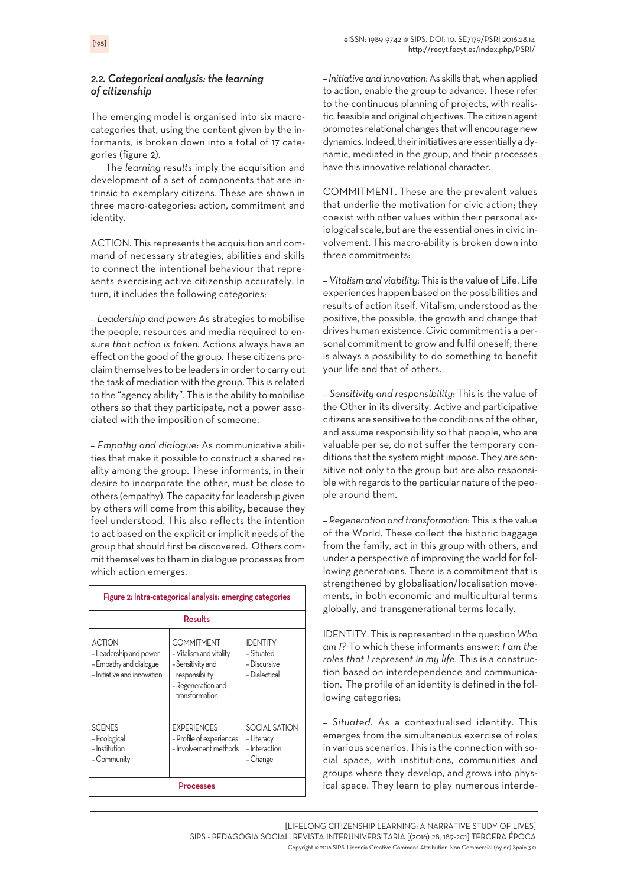## *2.2. Categorical analysis: the learning of citizenship*

The emerging model is organised into six macrocategories that, using the content given by the informants, is broken down into a total of 17 categories (figure 2).

The *learning results* imply the acquisition and development of a set of components that are intrinsic to exemplary citizens. These are shown in three macro-categories: action, commitment and identity.

ACTION. This represents the acquisition and command of necessary strategies, abilities and skills to connect the intentional behaviour that represents exercising active citizenship accurately. In turn, it includes the following categories:

– *Leadership and power*: As strategies to mobilise the people, resources and media required to ensure *that action is taken.* Actions always have an effect on the good of the group. These citizens proclaim themselves to be leaders in order to carry out the task of mediation with the group. This is related to the "agency ability". This is the ability to mobilise others so that they participate, not a power associated with the imposition of someone.

– *Empathy and dialogue*: As communicative abilities that make it possible to construct a shared reality among the group. These informants, in their desire to incorporate the other, must be close to others (empathy). The capacity forleadership given by others will come from this ability, because they feel understood. This also reflects the intention to act based on the explicit orimplicit needs of the group that should first be discovered. Others commit themselves to them in dialogue processes from which action emerges.

| Figure 2: Intra-categorical analysis: emerging categories                                        |                                                                                                                             |                                                                 |  |  |  |
|--------------------------------------------------------------------------------------------------|-----------------------------------------------------------------------------------------------------------------------------|-----------------------------------------------------------------|--|--|--|
| Results                                                                                          |                                                                                                                             |                                                                 |  |  |  |
| <b>ACTION</b><br>- Leadership and power<br>- Empathy and dialogue<br>- Initiative and innovation | <b>COMMITMENT</b><br>- Vitalism and vitality<br>- Sensitivity and<br>responsibility<br>- Regeneration and<br>transformation | <b>IDENTITY</b><br>- Situated<br>- Discursive<br>- Dialectical  |  |  |  |
| <b>SCENES</b><br>- Ecological<br>- Institution<br>- Community                                    | <b>EXPERIENCES</b><br>- Profile of experiences<br>- Involvement methods                                                     | <b>SOCIALISATION</b><br>- Literacy<br>- Interaction<br>- Change |  |  |  |
| Processes                                                                                        |                                                                                                                             |                                                                 |  |  |  |

–*Initiativeandinnovation*:As skills that,when applied to action, enable the group to advance. These refer to the continuous planning of projects, with realistic, feasible and original objectives. The citizen agent promotes relational changes that will encourage new dynamics. Indeed, their initiatives are essentially a dynamic, mediated in the group, and their processes have this innovative relational character.

COMMITMENT. These are the prevalent values that underlie the motivation for civic action; they coexist with other values within their personal axiological scale, but are the essential ones in civic involvement. This macro-ability is broken down into three commitments:

– *Vitalism and viability*: This is the value of Life. Life experiences happen based on the possibilities and results of action itself. Vitalism, understood as the positive, the possible, the growth and change that drives human existence. Civic commitment is a personal commitment to grow and fulfil oneself; there is always a possibility to do something to benefit your life and that of others.

– *Sensitivity and responsibility*: This is the value of the Other in its diversity. Active and participative citizens are sensitive to the conditions of the other, and assume responsibility so that people, who are valuable per se, do not suffer the temporary conditions that the system might impose. They are sensitive not only to the group but are also responsible with regards to the particular nature of the people around them.

– *Regeneration and transformation*: This is the value of the World. These collect the historic baggage from the family, act in this group with others, and under a perspective of improving the world for following generations. There is a commitment that is strengthened by globalisation/localisation movements, in both economic and multicultural terms globally, and transgenerational terms locally.

IDENTITY. This is represented in the question *Who am I?* To which these informants answer: *I am the roles that I represent in my life*. This is a construction based on interdependence and communication. The profile of an identity is defined in the following categories:

– *Situated*. As a contextualised identity. This emerges from the simultaneous exercise of roles in various scenarios. This is the connection with social space, with institutions, communities and groups where they develop, and grows into physical space. They learn to play numerous interde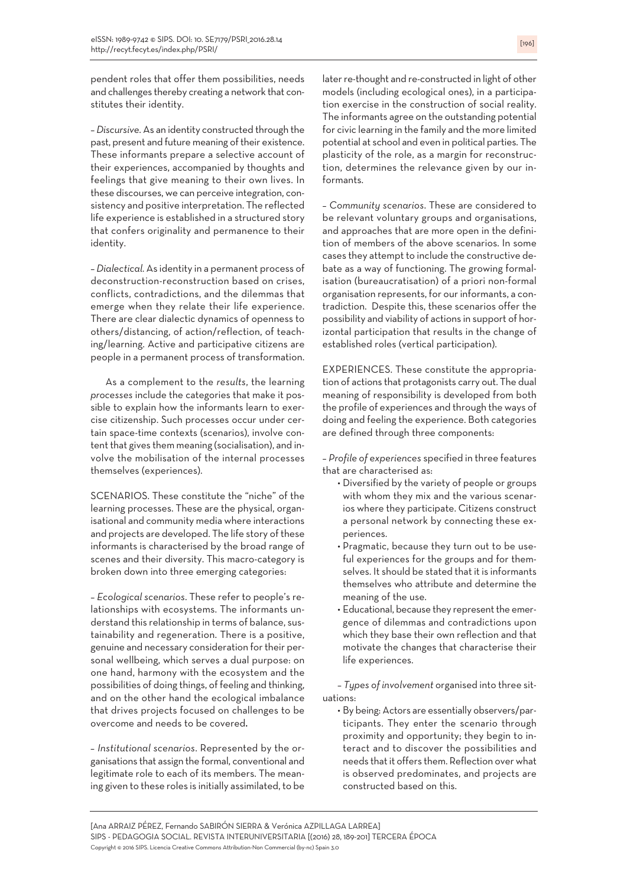pendent roles that offer them possibilities, needs and challenges thereby creating a network that constitutes their identity.

– *Discursive*. As an identity constructed through the past, present and future meaning of their existence. These informants prepare a selective account of their experiences, accompanied by thoughts and feelings that give meaning to their own lives. In these discourses,we can perceive integration, consistency and positive interpretation. The reflected life experience is established in a structured story that confers originality and permanence to their identity.

– *Dialectical*. As identity in a permanent process of deconstruction-reconstruction based on crises, conflicts, contradictions, and the dilemmas that emerge when they relate their life experience. There are clear dialectic dynamics of openness to others/distancing, of action/reflection, of teaching/learning. Active and participative citizens are people in a permanent process of transformation.

As a complement to the *results*, the learning *processes* include the categories that make it possible to explain how the informants learn to exercise citizenship. Such processes occur under certain space-time contexts (scenarios), involve content that gives them meaning (socialisation), and involve the mobilisation of the internal processes themselves (experiences).

SCENARIOS. These constitute the "niche" of the learning processes. These are the physical, organisational and community media where interactions and projects are developed. The life story of these informants is characterised by the broad range of scenes and their diversity. This macro-category is broken down into three emerging categories:

– *Ecological scenarios*. These refer to people's relationships with ecosystems. The informants understand this relationship in terms of balance, sustainability and regeneration. There is a positive, genuine and necessary consideration fortheir personal wellbeing, which serves a dual purpose: on one hand, harmony with the ecosystem and the possibilities of doing things, of feeling and thinking, and on the other hand the ecological imbalance that drives projects focused on challenges to be overcome and needs to be covered.

– *Institutional scenarios*. Represented by the organisations that assign the formal, conventional and legitimate role to each of its members. The meaning given to these roles is initially assimilated, to be later re-thought and re-constructed in light of other models (including ecological ones), in a participation exercise in the construction of social reality. The informants agree on the outstanding potential for civic learning in the family and the more limited potential at school and even in political parties. The plasticity of the role, as a margin for reconstruction, determines the relevance given by our informants.

– *Community scenarios*. These are considered to be relevant voluntary groups and organisations, and approaches that are more open in the definition of members of the above scenarios. In some cases they attempt to include the constructive debate as a way of functioning. The growing formalisation (bureaucratisation) of a priori non-formal organisation represents, for our informants, a contradiction. Despite this, these scenarios offer the possibility and viability of actions in support of horizontal participation that results in the change of established roles (vertical participation).

EXPERIENCES. These constitute the appropriation of actions that protagonists carry out. The dual meaning of responsibility is developed from both the profile of experiences and through the ways of doing and feeling the experience. Both categories are defined through three components:

– *Profile of experiences* specified in three features that are characterised as:

- Diversified by the variety of people or groups with whom they mix and the various scenarios where they participate. Citizens construct a personal network by connecting these experiences.
- Pragmatic, because they turn out to be useful experiences for the groups and for themselves. It should be stated that it is informants themselves who attribute and determine the meaning of the use.
- Educational, because they represent the emergence of dilemmas and contradictions upon which they base their own reflection and that motivate the changes that characterise their life experiences.

– *Types of involvement* organised into three situations:

• By being: Actors are essentially observers/participants. They enter the scenario through proximity and opportunity; they begin to interact and to discover the possibilities and needs that it offers them. Reflection overwhat is observed predominates, and projects are constructed based on this.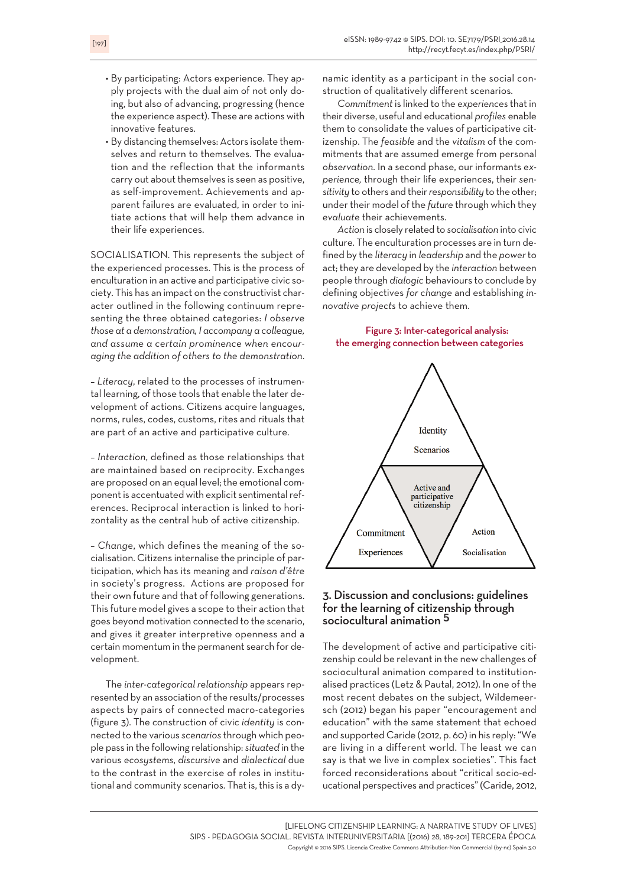- By participating: Actors experience. They apply projects with the dual aim of not only doing, but also of advancing, progressing (hence the experience aspect). These are actions with innovative features.
- By distancing themselves: Actors isolate themselves and return to themselves. The evaluation and the reflection that the informants carry out about themselves is seen as positive, as self-improvement. Achievements and apparent failures are evaluated, in order to initiate actions that will help them advance in their life experiences.

SOCIALISATION. This represents the subject of the experienced processes. This is the process of enculturation in an active and participative civic society. This has an impact on the constructivist character outlined in the following continuum representing the three obtained categories: *I observe those at a demonstration, I accompany a colleague, and assume a certain prominence when encouraging the addition of others to the demonstration*.

– *Literacy*, related to the processes of instrumental learning, of those tools that enable the later development of actions. Citizens acquire languages, norms, rules, codes, customs, rites and rituals that are part of an active and participative culture.

– *Interaction*, defined as those relationships that are maintained based on reciprocity. Exchanges are proposed on an equal level; the emotional component is accentuated with explicit sentimental references. Reciprocal interaction is linked to horizontality as the central hub of active citizenship.

– *Change*, which defines the meaning of the socialisation. Citizens internalise the principle of participation, which has its meaning and *raison d'être* in society's progress. Actions are proposed for their own future and that of following generations. This future model gives a scope to their action that goes beyond motivation connected to the scenario, and gives it greater interpretive openness and a certain momentum in the permanent search for development.

The *inter-categorical relationship* appears represented by an association of the results/processes aspects by pairs of connected macro-categories (figure 3). The construction of civic *identity* is connected to the various *scenarios* through which people pass in the following relationship: *situated* in the various *ecosystems*, *discursive* and *dialectical* due to the contrast in the exercise of roles in institutional and community scenarios. That is, this is a dynamic identity as a participant in the social construction of qualitatively different scenarios.

*Commitment* is linked to the *experiences* that in their diverse, useful and educational *profiles* enable them to consolidate the values of participative citizenship. The *feasible* and the *vitalism* of the commitments that are assumed emerge from personal *observation*. In a second phase, our informants *experience,* through their life experiences, their *sensitivity* to others and their*responsibility* to the other; undertheir model of the *future* through which they *evaluate* their achievements.

*Action* is closely related to *socialisation* into civic culture. The enculturation processes are in turn defined by the *literacy* in *leadership* and the *power* to act; they are developed by the *interaction* between people through *dialogic* behaviours to conclude by defining objectives *for change* and establishing *innovative projects* to achieve them.

#### Figure 3: Inter-categorical analysis: the emerging connection between categories



## 3. Discussion and conclusions: guidelines for the learning of citizenship through sociocultural animation 5

The development of active and participative citizenship could be relevant in the new challenges of sociocultural animation compared to institutionalised practices (Letz & Pautal, 2012). In one of the most recent debates on the subject, Wildemeersch (2012) began his paper "encouragement and education" with the same statement that echoed and supported Caride (2012, p. 60) in his reply:"We are living in a different world. The least we can say is that we live in complex societies". This fact forced reconsiderations about "critical socio-educational perspectives and practices"(Caride, 2012,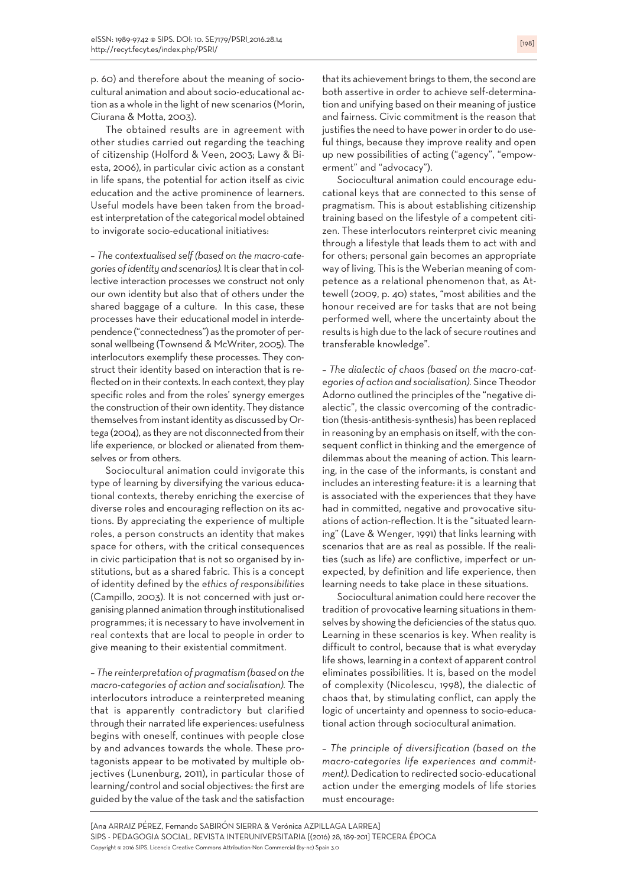p. 60) and therefore about the meaning of sociocultural animation and about socio-educational action as a whole in the light of new scenarios (Morin, Ciurana & Motta, 2003).

The obtained results are in agreement with other studies carried out regarding the teaching of citizenship (Holford & Veen, 2003; Lawy & Biesta, 2006), in particular civic action as a constant in life spans, the potential for action itself as civic education and the active prominence of learners. Useful models have been taken from the broadest interpretation of the categorical model obtained to invigorate socio-educational initiatives:

– *The contextualised self (based on the macro-categories ofidentity and scenarios).* Itis clearthatin collective interaction processes we construct not only our own identity but also that of others under the shared baggage of a culture. In this case, these processes have their educational model in interdependence ("connectedness") as the promoter of personal wellbeing (Townsend & McWriter, 2005). The interlocutors exemplify these processes. They construct their identity based on interaction that is reflected on in their contexts. In each context, they play specific roles and from the roles' synergy emerges the construction of their own identity. They distance themselves frominstantidentity as discussed by Ortega (2004), as they are not disconnected fromtheir life experience, or blocked or alienated from themselves or from others.

Sociocultural animation could invigorate this type of learning by diversifying the various educational contexts, thereby enriching the exercise of diverse roles and encouraging reflection on its actions. By appreciating the experience of multiple roles, a person constructs an identity that makes space for others, with the critical consequences in civic participation that is not so organised by institutions, but as a shared fabric. This is a concept of identity defined by the *ethics of responsibilities* (Campillo, 2003). It is not concerned with just organising planned animation through institutionalised programmes; it is necessary to have involvement in real contexts that are local to people in order to give meaning to their existential commitment.

– *The reinterpretation of pragmatism (based on the macro-categories of action and socialisation).* The interlocutors introduce a reinterpreted meaning that is apparently contradictory but clarified through their narrated life experiences: usefulness begins with oneself, continues with people close by and advances towards the whole. These protagonists appear to be motivated by multiple objectives (Lunenburg, 2011), in particular those of learning/control and social objectives: the first are guided by the value of the task and the satisfaction

that its achievement brings to them, the second are both assertive in order to achieve self-determination and unifying based on their meaning of justice and fairness. Civic commitment is the reason that justifies the need to have power in order to do useful things, because they improve reality and open up new possibilities of acting ("agency", "empowerment" and "advocacy").

Sociocultural animation could encourage educational keys that are connected to this sense of pragmatism. This is about establishing citizenship training based on the lifestyle of a competent citizen. These interlocutors reinterpret civic meaning through a lifestyle that leads them to act with and for others; personal gain becomes an appropriate way of living. This is the Weberian meaning of competence as a relational phenomenon that, as Attewell (2009, p. 40) states, "most abilities and the honour received are for tasks that are not being performed well, where the uncertainty about the results is high due to the lack of secure routines and transferable knowledge".

– *The dialectic of chaos (based on the macro-categories of action and socialisation).* Since Theodor Adorno outlined the principles of the "negative dialectic", the classic overcoming of the contradiction (thesis-antithesis-synthesis) has been replaced in reasoning by an emphasis on itself, with the consequent conflict in thinking and the emergence of dilemmas about the meaning of action. This learning, in the case of the informants, is constant and includes an interesting feature: it is a learning that is associated with the experiences that they have had in committed, negative and provocative situations of action-reflection. It is the "situated learning" (Lave & Wenger, 1991) that links learning with scenarios that are as real as possible. If the realities (such as life) are conflictive, imperfect or unexpected, by definition and life experience, then learning needs to take place in these situations.

Sociocultural animation could here recover the tradition of provocative learning situations in themselves by showing the deficiencies of the status quo. Learning in these scenarios is key. When reality is difficult to control, because that is what everyday life shows, learning in a context of apparent control eliminates possibilities. It is, based on the model of complexity (Nicolescu, 1998), the dialectic of chaos that, by stimulating conflict, can apply the logic of uncertainty and openness to socio-educational action through sociocultural animation.

– *The principle of diversification (based on the macro-categories life experiences and commitment)*. Dedication to redirected socio-educational action under the emerging models of life stories must encourage: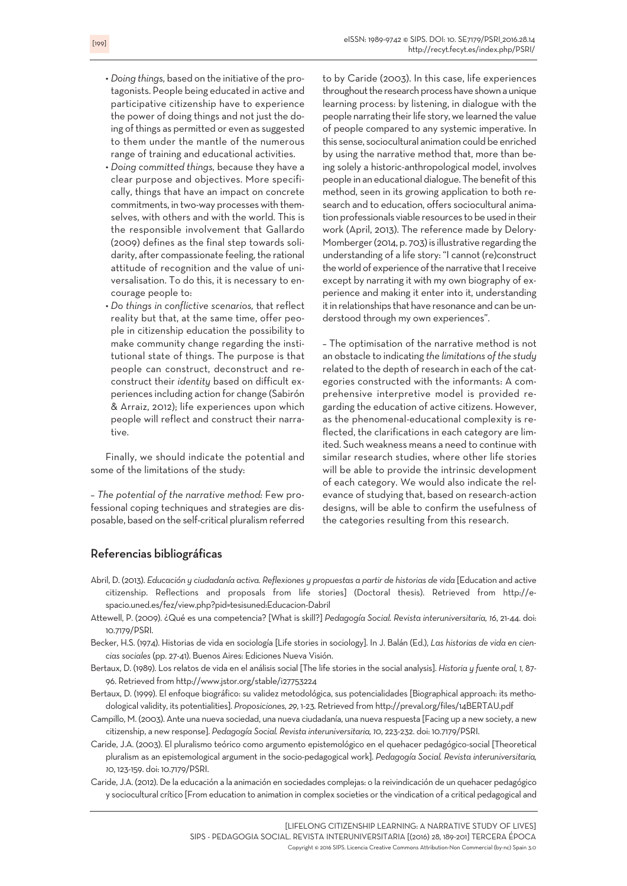- *Doing things,* based on the initiative of the protagonists. People being educated in active and participative citizenship have to experience the power of doing things and not just the doing of things as permitted or even as suggested to them under the mantle of the numerous range of training and educational activities.
- *Doing committed things,* because they have a clear purpose and objectives. More specifically, things that have an impact on concrete commitments, in two-way processes with themselves, with others and with the world. This is the responsible involvement that Gallardo (2009) defines as the final step towards solidarity, after compassionate feeling, the rational attitude of recognition and the value of universalisation. To do this, it is necessary to encourage people to:
- *Do things in conflictive scenarios,* that reflect reality but that, at the same time, offer people in citizenship education the possibility to make community change regarding the institutional state of things. The purpose is that people can construct, deconstruct and reconstruct their *identity* based on difficult experiences including action for change (Sabirón & Arraiz, 2012); life experiences upon which people will reflect and construct their narrative.

Finally, we should indicate the potential and some of the limitations of the study:

– *The potential of the narrative method:* Few professional coping techniques and strategies are disposable, based on the self-critical pluralism referred to by Caride (2003). In this case, life experiences throughout the research process have shown a unique learning process: by listening, in dialogue with the people narrating their life story, we learned the value of people compared to any systemic imperative. In this sense, sociocultural animation could be enriched by using the narrative method that, more than being solely a historic-anthropological model, involves people in an educational dialogue. The benefit of this method, seen in its growing application to both research and to education, offers sociocultural animation professionals viable resources to be used in their work (April, 2013). The reference made by Delory-Momberger (2014, p. 703) is illustrative regarding the understanding of a life story: "I cannot (re)construct the world of experience of the narrative that I receive except by narrating it with my own biography of experience and making it enter into it, understanding it in relationships that have resonance and can be understood through my own experiences".

– The optimisation of the narrative method is not an obstacle to indicating *the limitations ofthe study* related to the depth of research in each of the categories constructed with the informants: A comprehensive interpretive model is provided regarding the education of active citizens. However, as the phenomenal-educational complexity is reflected, the clarifications in each category are limited. Such weakness means a need to continue with similar research studies, where other life stories will be able to provide the intrinsic development of each category. We would also indicate the relevance of studying that, based on research-action designs, will be able to confirm the usefulness of the categories resulting from this research.

# Referencias bibliográficas

- Abril, D. (2013). *Educación y ciudadanía activa. Reflexiones y propuestas a partir de historias de vida* [Education and active citizenship. Reflections and proposals from life stories] (Doctoral thesis). Retrieved from http://espacio.uned.es/fez/view.php?pid=tesisuned:Educacion-Dabril
- Attewell, P. (2009). ¿Qué es una competencia? [What is skill?] *Pedagogía Social. Revista interuniversitaria, 16*, 21-44. doi: 10.7179/PSRI.
- Becker, H.S. (1974). Historias de vida en sociología [Life stories in sociology]. In J. Balán (Ed.), *Las historias de vida en ciencias sociales* (pp. 27-41). Buenos Aires: Ediciones Nueva Visión.
- Bertaux, D. (1989). Los relatos de vida en el análisis social [The life stories in the social analysis]. *Historia y fuente oral, 1,* 87- 96. Retrieved from http://www.jstor.org/stable/i27753224
- Bertaux, D. (1999). El enfoque biográfico: su validez metodológica, sus potencialidades [Biographical approach: its methodological validity, its potentialities]. *Proposiciones, 29*, 1-23. Retrieved from http://preval.org/files/14BERTAU.pdf
- Campillo, M. (2003). Ante una nueva sociedad, una nueva ciudadanía, una nueva respuesta [Facing up a new society, a new citizenship, a new response]. *Pedagogía Social. Revista interuniversitaria, 10*, 223-232. doi: 10.7179/PSRI.
- Caride, J.A. (2003). El pluralismo teórico como argumento epistemológico en el quehacer pedagógico-social [Theoretical pluralism as an epistemological argument in the socio-pedagogical work]. *Pedagogía Social. Revista interuniversitaria, 10*, 123-159. doi: 10.7179/PSRI.
- Caride, J.A. (2012). De la educación a la animación en sociedades complejas: o la reivindicación de un quehacer pedagógico y sociocultural crítico [From education to animation in complex societies orthe vindication of a critical pedagogical and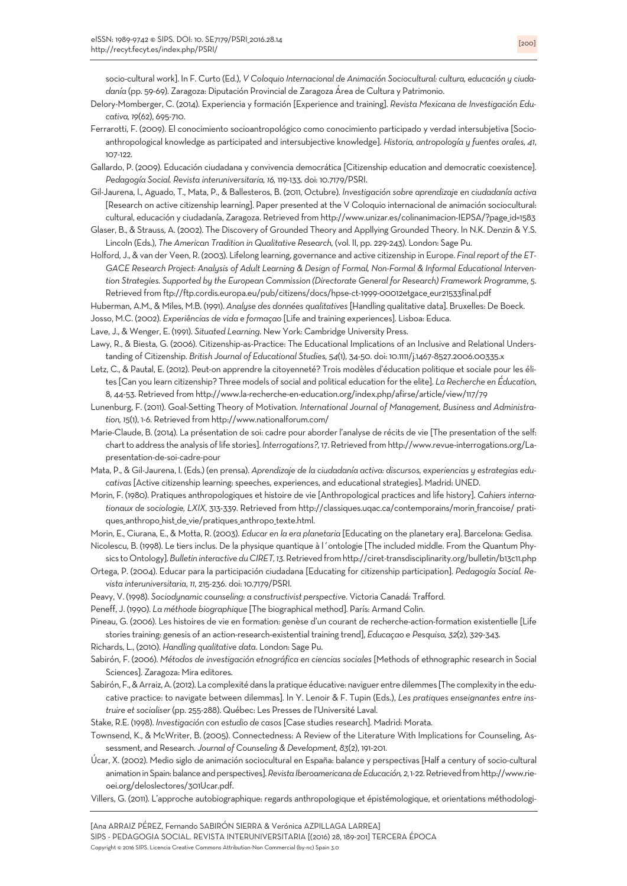socio-cultural work]. In F. Curto (Ed.), *V Coloquio Internacional de Animación Sociocultural: cultura, educación y ciudadanía* (pp. 59-69). Zaragoza: Diputación Provincial de Zaragoza Área de Cultura y Patrimonio.

- Delory-Momberger, C. (2014). Experiencia y formación [Experience and training]. *Revista Mexicana de Investigación Educativa, 19*(62), 695-710.
- Ferrarotti, F. (2009). El conocimiento socioantropológico como conocimiento participado y verdad intersubjetiva [Socioanthropological knowledge as participated and intersubjective knowledge]. *Historia, antropología y fuentes orales, 41*, 107-122.
- Gallardo, P. (2009). Educación ciudadana y convivencia democrática [Citizenship education and democratic coexistence]. *Pedagogía Social. Revista interuniversitaria, 16,* 119-133. doi: 10.7179/PSRI.
- Gil-Jaurena, I., Aguado, T., Mata, P., & Ballesteros, B. (2011, Octubre). *Investigación sobre aprendizaje en ciudadanía activa* [Research on active citizenship learning]. Paper presented at the V Coloquio internacional de animación sociocultural: cultural, educación y ciudadanía, Zaragoza. Retrieved from http://www.unizar.es/colinanimacion-IEPSA/?page\_id=1583
- Glaser, B., & Strauss, A. (2002). The Discovery of Grounded Theory and Appllying Grounded Theory. In N.K. Denzin & Y.S. Lincoln (Eds.), *The American Tradition in Qualitative Research,* (vol. II, pp. 229-243). London: Sage Pu.
- Holford, J., & van der Veen, R. (2003). Lifelong learning, governance and active citizenship in Europe. *Final report of the ET-*GACE Research Project: Analysis of Adult Learning & Design of Formal, Non-Formal & Informal Educational Interven*tion Strategies. Supported by the European Commission (Directorate General for Research) Framework Programme*, *5*. Retrieved from ftp://ftp.cordis.europa.eu/pub/citizens/docs/hpse-ct-1999-00012etgace\_eur21533final.pdf
- Huberman, A.M., & Miles, M.B. (1991). *Analyse des données qualitatives* [Handling qualitative data]. Bruxelles: De Boeck.
- Josso, M.C. (2002). *Experiências de vida e formaçao* [Life and training experiences]. Lisboa: Educa.
- Lave, J., & Wenger, E. (1991). *Situated Learning*. New York: Cambridge University Press.
- Lawy, R., & Biesta, G. (2006). Citizenship-as-Practice: The Educational Implications of an Inclusive and Relational Understanding of Citizenship. *British Journal of Educational Studies, 54*(1), 34-50. doi: 10.1111/j.1467-8527.2006.00335.x
- Letz, C., & Pautal, E. (2012). Peut-on apprendre la citoyenneté? Trois modèles d'éducation politique et sociale pour les élites [Can you learn citizenship? Three models of social and political education forthe elite]. *La Recherche en Éducation*, 8, 44-53. Retrieved from http://www.la-recherche-en-education.org/index.php/afirse/article/view/117/79
- Lunenburg, F. (2011). Goal-Setting Theory of Motivation. *International Journal of Management, Business and Administration, 15*(1), 1-6. Retrieved from http://www.nationalforum.com/
- Marie-Claude, B. (2014). La présentation de soi: cadre pour aborder l'analyse de récits de vie [The presentation of the self: chartto address the analysis oflife stories]. *Interrogations?,* 17. Retrieved from http://www.revue-interrogations.org/Lapresentation-de-soi-cadre-pour
- Mata, P., & Gil-Jaurena, I. (Eds.) (en prensa). *Aprendizaje de la ciudadanía activa: discursos, experiencias y estrategias educativas* [Active citizenship learning: speeches, experiences, and educational strategies]. Madrid: UNED.
- Morin, F. (1980). Pratiques anthropologiques et histoire de vie [Anthropological practices and life history]. *Cahiers internationaux de sociologie, LXIX*, 313-339. Retrieved from http://classiques.uqac.ca/contemporains/morin\_francoise/ pratiques\_anthropo\_hist\_de\_vie/pratiques\_anthropo\_texte.html.

Morin, E., Ciurana, E., & Motta, R. (2003). *Educar en la era planetaria* [Educating on the planetary era]. Barcelona: Gedisa. Nicolescu, B. (1998). Le tiers inclus. De la physique quantique à l´ontologie [The included middle. From the Quantum Phy-

- sics to Ontology]. Bulletin interactive du CIRET, 13. Retrieved from http://ciret-transdisciplinarity.org/bulletin/b13c11.php
- Ortega, P. (2004). Educar para la participación ciudadana [Educating for citizenship participation]. *Pedagogía Social. Revista interuniversitaria*, *11*, 215-236. doi: 10.7179/PSRI.
- Peavy, V. (1998). *Sociodynamic counseling: a constructivist perspective*. Victoria Canadá: Trafford.
- Peneff, J. (1990). *La méthode biographique* [The biographical method]. París: Armand Colin.
- Pineau, G. (2006). Les histoires de vie en formation: genèse d'un courant de recherche-action-formation existentielle [Life stories training: genesis of an action-research-existential training trend], *Educaçao e Pesquisa, 32*(2), 329-343.
- Richards, L., (2010). *Handling qualitative data*. London: Sage Pu.
- Sabirón, F. (2006). *Métodos de investigación etnográfica en ciencias sociales* [Methods of ethnographic research in Social Sciences]. Zaragoza: Mira editores.
- Sabirón, F., & Arraiz, A. (2012). La complexité dans la pratique éducative: naviguer entre dilemmes [The complexity in the educative practice: to navigate between dilemmas]. In Y. Lenoir & F. Tupin (Eds.), *Les pratiques enseignantes entre instruire et socialiser* (pp. 255-288). Québec: Les Presses de l'Université Laval.
- Stake, R.E. (1998). *Investigación con estudio de casos* [Case studies research]. Madrid: Morata.
- Townsend, K., & McWriter, B. (2005). Connectedness: A Review of the Literature With Implications for Counseling, Assessment, and Research. *Journal of Counseling & Development, 83*(2), 191-201.
- Úcar, X. (2002). Medio siglo de animación sociocultural en España: balance y perspectivas [Half a century of socio-cultural animation in Spain: balance and perspectives]. Revista Iberoamericana de Educación, 2, 1-22. Retrieved from http://www.rieoei.org/deloslectores/301Ucar.pdf.
- Villers, G. (2011). L'approche autobiographique: regards anthropologique et épistémologique, et orientations méthodologi-